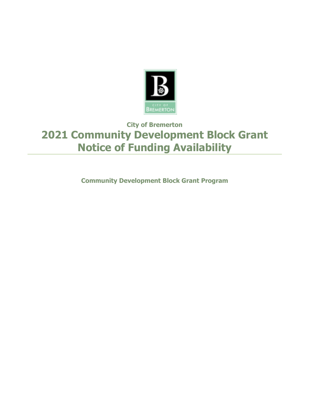

# **City of Bremerton 2021 Community Development Block Grant Notice of Funding Availability**

**Community Development Block Grant Program**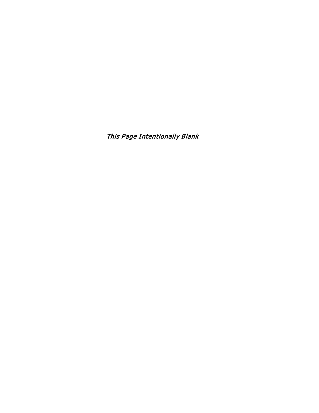This Page Intentionally Blank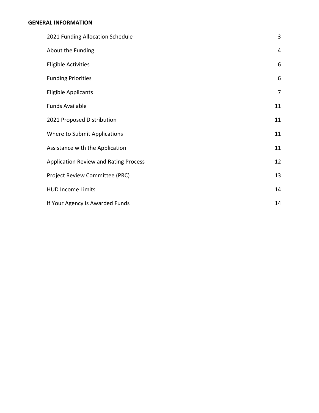#### **[GENERAL INFORMATION](#page-3-0)**

| 2021 Funding Allocation Schedule             | 3              |
|----------------------------------------------|----------------|
| About the Funding                            | $\overline{4}$ |
| <b>Eligible Activities</b>                   | 6              |
| <b>Funding Priorities</b>                    | 6              |
| <b>Eligible Applicants</b>                   | 7              |
| <b>Funds Available</b>                       | 11             |
| 2021 Proposed Distribution                   | 11             |
| Where to Submit Applications                 | 11             |
| Assistance with the Application              | 11             |
| <b>Application Review and Rating Process</b> | 12             |
| Project Review Committee (PRC)               | 13             |
| <b>HUD Income Limits</b>                     | 14             |
| If Your Agency is Awarded Funds              | 14             |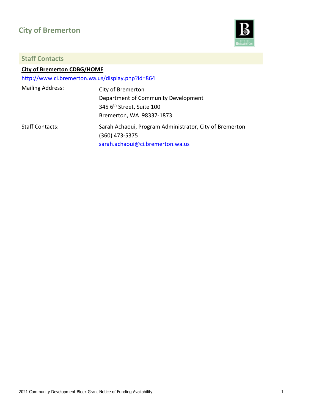# **City of Bremerton**



## <span id="page-3-0"></span>**Staff Contacts**

## **City of Bremerton CDBG/HOME**

<http://www.ci.bremerton.wa.us/display.php?id=864>

| <b>Mailing Address:</b> | City of Bremerton                                       |
|-------------------------|---------------------------------------------------------|
|                         | Department of Community Development                     |
|                         | 345 6 <sup>th</sup> Street, Suite 100                   |
|                         | Bremerton, WA 98337-1873                                |
| <b>Staff Contacts:</b>  | Sarah Achaoui, Program Administrator, City of Bremerton |
|                         | (360) 473-5375                                          |
|                         | sarah.achaoui@ci.bremerton.wa.us                        |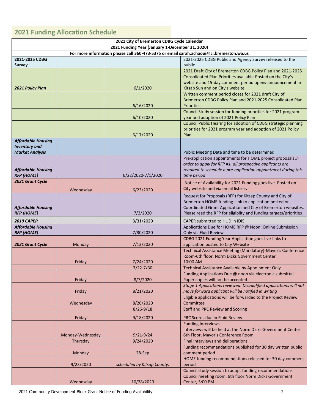# <span id="page-4-0"></span>**2021 Funding Allocation Schedule**

| 2021 City of Bremerton CDBG Cycle Calendar     |                  |                                                 |                                                                                                                                                                                                                                                         |  |  |  |
|------------------------------------------------|------------------|-------------------------------------------------|---------------------------------------------------------------------------------------------------------------------------------------------------------------------------------------------------------------------------------------------------------|--|--|--|
|                                                |                  | 2021 Funding Year (January 1-December 31, 2020) |                                                                                                                                                                                                                                                         |  |  |  |
|                                                |                  |                                                 | For more information please call 360-473-5375 or email sarah.achaoui@ci.bremerton.wa.us                                                                                                                                                                 |  |  |  |
| 2021-2025 CDBG<br><b>Survey</b>                |                  |                                                 | 2021-2025 CDBG Public and Agency Survey released to the<br>public                                                                                                                                                                                       |  |  |  |
| 2021 Policy Plan                               |                  | 6/1/2020                                        | 2021 Draft City of Bremerton CDBG Policy Plan and 2021-2025<br>Consolidated Plan Priorities available-Posted on the City's<br>website and 15-day comment period opens-announcement in<br>Kitsap Sun and on City's website.                              |  |  |  |
|                                                |                  | 6/16/2020                                       | Written comment period closes for 2021 draft City of<br>Bremerton CDBG Policy Plan and 2021-2025 Consolidated Plan<br><b>Priorities</b>                                                                                                                 |  |  |  |
|                                                |                  | 6/10/2020                                       | Council Study session for funding priorities for 2021 program<br>year and adoption of 2021 Policy Plan                                                                                                                                                  |  |  |  |
|                                                |                  | 6/17/2020                                       | Council Public Hearing for adoption of CDBG strategic planning<br>priorities for 2021 program year and adoption of 2021 Policy<br>Plan                                                                                                                  |  |  |  |
| <b>Affordable Housing</b>                      |                  |                                                 |                                                                                                                                                                                                                                                         |  |  |  |
| <b>Inventory</b> and                           |                  |                                                 |                                                                                                                                                                                                                                                         |  |  |  |
| <b>Market Analysis</b>                         |                  |                                                 | Public Meeting Date and time to be determined                                                                                                                                                                                                           |  |  |  |
| <b>Affordable Housing</b><br><b>RFP (HOME)</b> |                  | 6/22/2020-7/1/2020                              | Pre-application appointments for HOME project proposals in<br>order to apply for RFP #1, all prospective applicants are<br>required to schedule a pre-application appointment during this<br>time period                                                |  |  |  |
| 2021 Grant Cycle                               | Wednesday        | 6/23/2020                                       | Notice of Availability for 2021 Funding goes live. Posted on<br>City website and via email listserv                                                                                                                                                     |  |  |  |
| <b>Affordable Housing</b><br><b>RFP (HOME)</b> |                  | 7/2/2020                                        | Request for Proposals (RFP) for Kitsap County and City of<br>Bremerton HOME funding-Link to application posted on<br>Coordinated Grant Application and City of Bremerton websites.<br>Please read the RFP for eligiblity and funding targets/priorities |  |  |  |
| <b>2019 CAPER</b>                              |                  | 3/31/2020                                       | CAPER submitted to HUD in IDIS                                                                                                                                                                                                                          |  |  |  |
| <b>Affordable Housing</b><br><b>RFP</b> (HOME) |                  | 7/30/2020                                       | Applications Due for HOME RFP @ Noon: Online Submission<br>Only via Fluid Review                                                                                                                                                                        |  |  |  |
| 2021 Grant Cycle                               | Monday           | 7/13/2020                                       | CDBG 2021 Funding Year Application goes live-links to<br>application posted to City Website                                                                                                                                                             |  |  |  |
|                                                | Friday           | 7/24/2020                                       | Technical Assistance Meeting (Mandatory)-Mayor's Conference<br>Room-6th floor, Norm Dicks Government Center<br>10:00 AM                                                                                                                                 |  |  |  |
|                                                |                  | $7/22 - 7/30$                                   | Technical Assistance Available by Appoinment Only                                                                                                                                                                                                       |  |  |  |
|                                                | Friday           | 8/7/2020                                        | Funding Applications Due @ noon via electronic submittal.<br>Paper copies will not be accepted                                                                                                                                                          |  |  |  |
|                                                | Friday           | 8/21/2020                                       | Stage 1 Applications reviewed: Disqualified applications will not<br>move forward applicant will be notified in writing                                                                                                                                 |  |  |  |
|                                                | Wednesday        | 8/26/2020<br>$8/26 - 9/18$                      | Eligible applications will be forwarded to the Project Review<br>Committee<br>Staff and PRC Review and Scoring                                                                                                                                          |  |  |  |
|                                                |                  |                                                 |                                                                                                                                                                                                                                                         |  |  |  |
|                                                | Friday           | 9/18/2020                                       | PRC Scores due in Fluid Review                                                                                                                                                                                                                          |  |  |  |
|                                                | Monday-Wednesday | $9/21 - 9/24$                                   | <b>Funding Interviews</b><br>Interviews will be held at the Norm Dicks Government Center<br>6th Floor, Mayor's Conference Room                                                                                                                          |  |  |  |
|                                                | Thursday         | 9/24/2020                                       | Final interviews and deliberations                                                                                                                                                                                                                      |  |  |  |
|                                                | Monday           | 28-Sep                                          | Funding recommendations published for 30 day written public<br>comment period<br>HOME funding recommendations released for 30 day comment                                                                                                               |  |  |  |
|                                                | 9/23/2020        | scheduled by Kitsap County.                     | period<br>Council study session to adopt funding recommendations                                                                                                                                                                                        |  |  |  |
|                                                | Wednesday        | 10/28/2020                                      | Council meeting room, 6th floor Norm Dicks Government<br>Center, 5:00 PM                                                                                                                                                                                |  |  |  |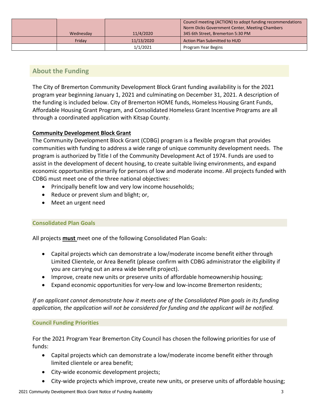| Wednesday | 11/4/2020  | Council meeting (ACTION) to adopt funding recommendations<br>Norm Dicks Government Center, Meeting Chambers<br>345 6th Street, Bremerton 5:30 PM |
|-----------|------------|--------------------------------------------------------------------------------------------------------------------------------------------------|
| Fridav    | 11/13/2020 | Action Plan Submitted to HUD                                                                                                                     |
|           | 1/1/2021   | Program Year Begins                                                                                                                              |

## <span id="page-5-0"></span>**About the Funding**

The City of Bremerton Community Development Block Grant funding availability is for the 2021 program year beginning January 1, 2021 and culminating on December 31, 2021. A description of the funding is included below. City of Bremerton HOME funds, Homeless Housing Grant Funds, Affordable Housing Grant Program, and Consolidated Homeless Grant Incentive Programs are all through a coordinated application with Kitsap County.

## **Community Development Block Grant**

The Community Development Block Grant (CDBG) program is a flexible program that provides communities with funding to address a wide range of unique community development needs. The program is authorized by Title I of the Community Development Act of 1974. Funds are used to assist in the development of decent housing, to create suitable living environments, and expand economic opportunities primarily for persons of low and moderate income. All projects funded with CDBG must meet one of the three national objectives:

- Principally benefit low and very low income households;
- Reduce or prevent slum and blight; or,
- Meet an urgent need

#### **Consolidated Plan Goals**

All projects **must** meet one of the following Consolidated Plan Goals:

- Capital projects which can demonstrate a low/moderate income benefit either through Limited Clientele, or Area Benefit (please confirm with CDBG administrator the eligibility if you are carrying out an area wide benefit project).
- Improve, create new units or preserve units of affordable homeownership housing;
- Expand economic opportunities for very-low and low-income Bremerton residents;

*If an applicant cannot demonstrate how it meets one of the Consolidated Plan goals in its funding application, the application will not be considered for funding and the applicant will be notified.* 

#### **Council Funding Priorities**

For the 2021 Program Year Bremerton City Council has chosen the following priorities for use of funds:

- Capital projects which can demonstrate a low/moderate income benefit either through limited clientele or area benefit;
- City-wide economic development projects;
- City-wide projects which improve, create new units, or preserve units of affordable housing;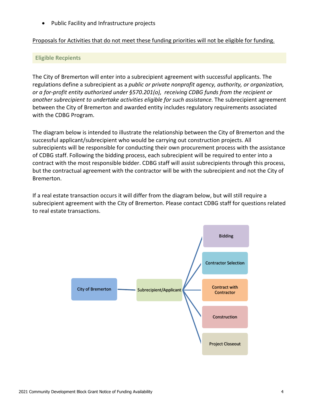• Public Facility and Infrastructure projects

## Proposals for Activities that do not meet these funding priorities will not be eligible for funding.

#### **Eligible Recpients**

The City of Bremerton will enter into a subrecipient agreement with successful applicants. The regulations define a subrecipient as a *public or private nonprofit agency, authority, or organization, or a for-profit entity authorized under §570.201(o), receiving CDBG funds from the recipient or another subrecipient to undertake activities eligible for such assistance.* The subrecipient agreement between the City of Bremerton and awarded entity includes regulatory requirements associated with the CDBG Program.

The diagram below is intended to illustrate the relationship between the City of Bremerton and the successful applicant/subrecipient who would be carrying out construction projects. All subrecipients will be responsible for conducting their own procurement process with the assistance of CDBG staff. Following the bidding process, each subrecipient will be required to enter into a contract with the most responsible bidder. CDBG staff will assist subrecipients through this process, but the contractual agreement with the contractor will be with the subrecipient and not the City of Bremerton.

If a real estate transaction occurs it will differ from the diagram below, but will still require a subrecipient agreement with the City of Bremerton. Please contact CDBG staff for questions related to real estate transactions.

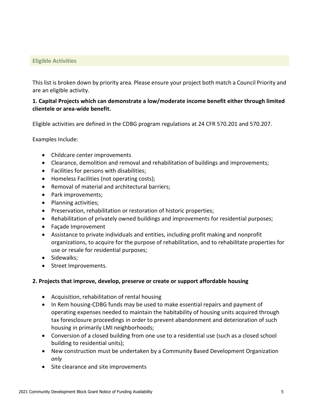#### <span id="page-7-0"></span>**Eligible Activities**

This list is broken down by priority area. Please ensure your project both match a Council Priority and are an eligible activity.

## **1. Capital Projects which can demonstrate a low/moderate income benefit either through limited clientele or area-wide benefit.**

Eligible activities are defined in the CDBG program regulations at 24 CFR 570.201 and 570.207.

Examples Include:

- Childcare center improvements
- Clearance, demolition and removal and rehabilitation of buildings and improvements;
- Facilities for persons with disabilities;
- Homeless Facilities (not operating costs);
- Removal of material and architectural barriers;
- Park improvements;
- Planning activities;
- Preservation, rehabilitation or restoration of historic properties;
- Rehabilitation of privately owned buildings and improvements for residential purposes;
- Façade Improvement
- Assistance to private individuals and entities, including profit making and nonprofit organizations, to acquire for the purpose of rehabilitation, and to rehabilitate properties for use or resale for residential purposes;
- Sidewalks;
- Street Improvements.

#### **2. Projects that improve, develop, preserve or create or support affordable housing**

- Acquisition, rehabilitation of rental housing
- In Rem housing-CDBG funds may be used to make essential repairs and payment of operating expenses needed to maintain the habitability of housing units acquired through tax foresclosure proceedings in order to prevent abandonment and deterioration of such housing in primarily LMI neighborhoods;
- Conversion of a closed building from one use to a residential use (such as a closed school building to residential units);
- New construction must be undertaken by a Community Based Development Organization *only*
- Site clearance and site improvements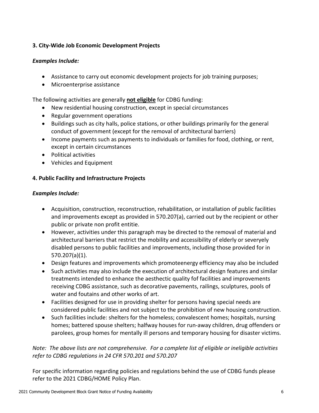## **3. City-Wide Job Economic Development Projects**

## *Examples Include:*

- Assistance to carry out economic development projects for job training purposes;
- Microenterprise assistance

The following activities are generally **not eligible** for CDBG funding:

- New residential housing construction, except in special circumstances
- Regular government operations
- Buildings such as city halls, police stations, or other buildings primarily for the general conduct of government (except for the removal of architectural barriers)
- Income payments such as payments to individuals or families for food, clothing, or rent, except in certain circumstances
- Political activities
- Vehicles and Equipment

## **4. Public Facility and Infrastructure Projects**

## *Examples Include:*

- Acquisition, construction, reconstruction, rehabilitation, or installation of public facilities and improvements except as provided in 570.207(a), carried out by the recipient or other public or private non profit entitie.
- However, activities under this paragraph may be directed to the removal of material and architectural barriers that restrict the mobility and accessibility of elderly or severyely disabled persons to public facilities and improvements, including those provided for in 570.207(a)(1).
- Design features and improvements which promoteenergy efficiency may also be included
- Such activities may also include the execution of architectural design features and similar treatments intended to enhance the aesthectic quality fof facilities and improvements receiving CDBG assistance, such as decorative pavements, railings, sculptures, pools of water and foutains and other works of art.
- Facilities designed for use in providing shelter for persons having special needs are considered public facilities and not subject to the prohibition of new housing construction.
- Such facilities include: shelters for the homeless; convalescent homes; hospitals, nursing homes; battered spouse shelters; halfway houses for run-away children, drug offenders or parolees, group homes for mentally ill persons and temporary housing for disaster victims.

## *Note: The above lists are not comprehensive. For a complete list of eligible or ineligible activities refer to CDBG regulations in 24 CFR 570.201 and 570.207*

For specific information regarding policies and regulations behind the use of CDBG funds please refer to the 2021 CDBG/HOME Policy Plan.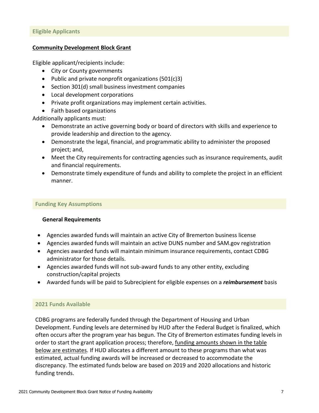#### <span id="page-9-0"></span>**Community Development Block Grant**

Eligible applicant/recipients include:

- City or County governments
- Public and private nonprofit organizations (501(c)3)
- Section 301(d) small business investment companies
- Local development corporations
- Private profit organizations may implement certain activities.
- Faith based organizations

Additionally applicants must:

- Demonstrate an active governing body or board of directors with skills and experience to provide leadership and direction to the agency.
- Demonstrate the legal, financial, and programmatic ability to administer the proposed project; and,
- Meet the City requirements for contracting agencies such as insurance requirements, audit and financial requirements.
- Demonstrate timely expenditure of funds and ability to complete the project in an efficient manner.

#### <span id="page-9-1"></span>**Funding Key Assumptions**

#### **General Requirements**

- Agencies awarded funds will maintain an active City of Bremerton business license
- Agencies awarded funds will maintain an active DUNS number and SAM.gov registration
- Agencies awarded funds will maintain minimum insurance requirements, contact CDBG administrator for those details.
- Agencies awarded funds will not sub-award funds to any other entity, excluding construction/capital projects
- Awarded funds will be paid to Subrecipient for eligible expenses on a *reimbursement* basis

#### <span id="page-9-2"></span>**2021 Funds Available**

CDBG programs are federally funded through the Department of Housing and Urban Development. Funding levels are determined by HUD after the Federal Budget is finalized, which often occurs after the program year has begun. The City of Bremerton estimates funding levels in order to start the grant application process; therefore, funding amounts shown in the table below are estimates. If HUD allocates a different amount to these programs than what was estimated, actual funding awards will be increased or decreased to accommodate the discrepancy. The estimated funds below are based on 2019 and 2020 allocations and historic funding trends.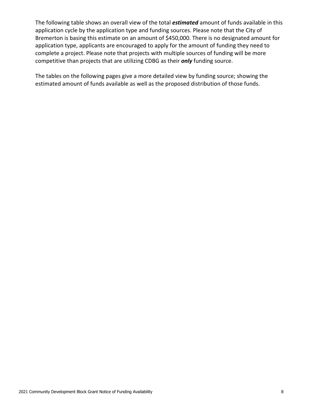The following table shows an overall view of the total *estimated* amount of funds available in this application cycle by the application type and funding sources. Please note that the City of Bremerton is basing this estimate on an amount of \$450,000. There is no designated amount for application type, applicants are encouraged to apply for the amount of funding they need to complete a project. Please note that projects with multiple sources of funding will be more competitive than projects that are utilizing CDBG as their *only* funding source.

The tables on the following pages give a more detailed view by funding source; showing the estimated amount of funds available as well as the proposed distribution of those funds.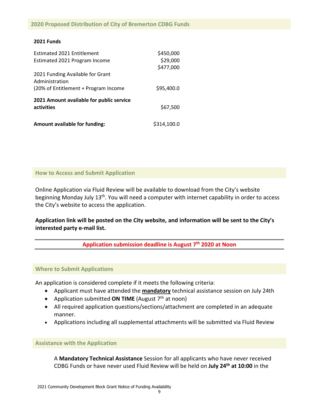#### <span id="page-11-0"></span>**2021 Funds**

| Estimated 2021 Entitlement<br>Estimated 2021 Program Income<br>2021 Funding Available for Grant | \$450,000<br>\$29,000<br>\$477,000 |
|-------------------------------------------------------------------------------------------------|------------------------------------|
| Administration<br>(20% of Entitlement + Program Income                                          | \$95,400.0                         |
| 2021 Amount available for public service<br>activities                                          | \$67,500                           |
| Amount available for funding:                                                                   | \$314,100.0                        |

#### **How to Access and Submit Application**

Online Application via Fluid Review will be available to download from the City's website beginning Monday July 13<sup>th</sup>. You will need a computer with internet capability in order to access the City's website to access the application.

**Application link will be posted on the City website, and information will be sent to the City's interested party e-mail list.**

**Application submission deadline is August 7th 2020 at Noon**

#### <span id="page-11-1"></span>**Where to Submit Applications**

An application is considered complete if it meets the following criteria:

- Applicant must have attended the **mandatory** technical assistance session on July 24th
- Application submitted **ON TIME** (August 7<sup>th</sup> at noon)
- All required application questions/sections/attachment are completed in an adequate manner.
- Applications including all supplemental attachments will be submitted via Fluid Review

#### <span id="page-11-2"></span>**Assistance with the Application**

A **Mandatory Technical Assistance** Session for all applicants who have never received CDBG Funds or have never used Fluid Review will be held on **July 24th at 10:00** in the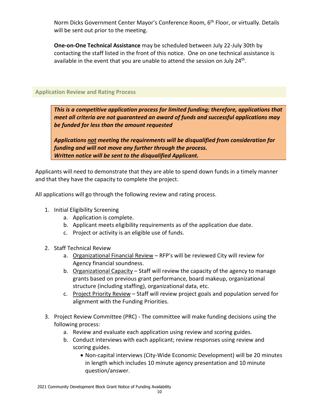Norm Dicks Government Center Mayor's Conference Room, 6<sup>th</sup> Floor, or virtually. Details will be sent out prior to the meeting.

**One-on-One Technical Assistance** may be scheduled between July 22-July 30th by contacting the staff listed in the front of this notice. One on one technical assistance is available in the event that you are unable to attend the session on July 24<sup>th</sup>.

## <span id="page-12-0"></span>**Application Review and Rating Process**

*This is a competitive application process for limited funding; therefore, applications that meet all criteria are not guaranteed an award of funds and successful applications may be funded for less than the amount requested*

*Applications not meeting the requirements will be disqualified from consideration for funding and will not move any further through the process. Written notice will be sent to the disqualified Applicant.*

Applicants will need to demonstrate that they are able to spend down funds in a timely manner and that they have the capacity to complete the project.

All applications will go through the following review and rating process.

- 1. Initial Eligibility Screening
	- a. Application is complete.
	- b. Applicant meets eligibility requirements as of the application due date.
	- c. Project or activity is an eligible use of funds.
- 2. Staff Technical Review
	- a. Organizational Financial Review RFP's will be reviewed City will review for Agency financial soundness.
	- b. Organizational Capacity Staff will review the capacity of the agency to manage grants based on previous grant performance, board makeup, organizational structure (including staffing), organizational data, etc.
	- c. Project Priority Review Staff will review project goals and population served for alignment with the Funding Priorities.
- 3. Project Review Committee (PRC) The committee will make funding decisions using the following process:
	- a. Review and evaluate each application using review and scoring guides.
	- b. Conduct interviews with each applicant; review responses using review and scoring guides.
		- Non-capital interviews (City-Wide Economic Development) will be 20 minutes in length which includes 10 minute agency presentation and 10 minute question/answer.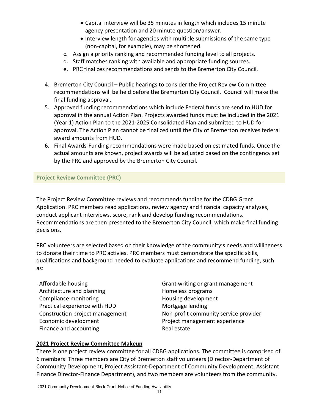- Capital interview will be 35 minutes in length which includes 15 minute agency presentation and 20 minute question/answer.
- Interview length for agencies with multiple submissions of the same type (non-capital, for example), may be shortened.
- c. Assign a priority ranking and recommended funding level to all projects.
- d. Staff matches ranking with available and appropriate funding sources.
- e. PRC finalizes recommendations and sends to the Bremerton City Council.
- 4. Bremerton City Council Public hearings to consider the Project Review Committee recommendations will be held before the Bremerton City Council. Council will make the final funding approval.
- 5. Approved funding recommendations which include Federal funds are send to HUD for approval in the annual Action Plan. Projects awarded funds must be included in the 2021 (Year 1) Action Plan to the 2021-2025 Consolidated Plan and submitted to HUD for approval. The Action Plan cannot be finalized until the City of Bremerton receives federal award amounts from HUD.
- 6. Final Awards-Funding recommendations were made based on estimated funds. Once the actual amounts are known, project awards will be adjusted based on the contingency set by the PRC and approved by the Bremerton City Council.

## **Project Review Committee (PRC)**

The Project Review Committee reviews and recommends funding for the CDBG Grant Application. PRC members read applications, review agency and financial capacity analyses, conduct applicant interviews, score, rank and develop funding recommendations. Recommendations are then presented to the Bremerton City Council, which make final funding decisions.

PRC volunteers are selected based on their knowledge of the community's needs and willingness to donate their time to PRC activies. PRC members must demonstrate the specific skills, qualifications and background needed to evaluate applications and recommend funding, such as:

- Affordable housing and a set of the Grant writing or grant management Architecture and planning entitled and planning the Homeless programs Compliance monitoring example and the Housing development Practical experience with HUD Mortgage lending Economic development experience research and Project management experience Finance and accounting The Real estate
- Construction project management Non-profit community service provider

## **2021 Project Review Committee Makeup**

There is one project review committee for all CDBG applications. The committee is comprised of 6 members: Three members are City of Bremerton staff volunteers (Director-Department of Community Development, Project Assistant-Department of Community Development, Assistant Finance Director-Finance Department), and two members are volunteers from the community,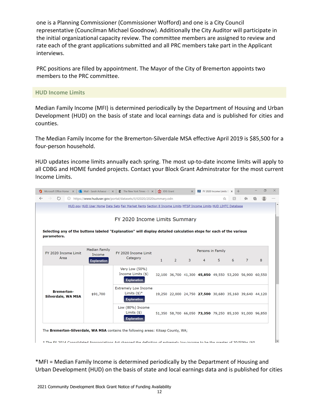one is a Planning Commissioner (Commissioner Wofford) and one is a City Council representative (Councilman Michael Goodnow). Additionally the City Auditor will participate in the initial organizational capacity review. The committee members are assigned to review and rate each of the grant applications submitted and all PRC members take part in the Applicant interviews.

PRC positions are filled by appointment. The Mayor of the City of Bremerton appoints two members to the PRC committee.

#### <span id="page-14-0"></span>**HUD Income Limits**

Median Family Income (MFI) is determined periodically by the Department of Housing and Urban Development (HUD) on the basis of state and local earnings data and is published for cities and counties.

The Median Family Income for the Bremerton-Silverdale MSA effective April 2019 is \$85,500 for a four-person household.

HUD updates income limits annually each spring. The most up-to-date income limits will apply to all CDBG and HOME funded projects. Contact your Block Grant Adminstrator for the most current Income Limits.

|                                         |                      | <b>1</b> Microsoft Office Home $\cdot \times$ <b>CE</b> Mail - Sarah Achaoui - $\circ \times$ <b>C</b> The New York Times - Br $\times$ <b>C</b> IDIS Grant |              |                |   | $\times$ <b>HI</b> FY 2020 Income Limits D $\times$ |    |   |                                                         |   |
|-----------------------------------------|----------------------|-------------------------------------------------------------------------------------------------------------------------------------------------------------|--------------|----------------|---|-----------------------------------------------------|----|---|---------------------------------------------------------|---|
| $\circ$                                 |                      | 10 https://www.huduser.gov/portal/datasets/il/il2020/2020summary.odn                                                                                        |              |                |   |                                                     | ☆  |   | ร∕≡                                                     | 兑 |
|                                         |                      | HUD.gov HUD User Home Data Sets Fair Market Rents Section 8 Income Limits MTSP Income Limits HUD LIHTC Database                                             |              |                |   |                                                     |    |   |                                                         |   |
|                                         |                      |                                                                                                                                                             |              |                |   |                                                     |    |   |                                                         |   |
|                                         |                      | FY 2020 Income Limits Summary                                                                                                                               |              |                |   |                                                     |    |   |                                                         |   |
|                                         |                      |                                                                                                                                                             |              |                |   |                                                     |    |   |                                                         |   |
| parameters.                             |                      | Selecting any of the buttons labeled "Explanation" will display detailed calculation steps for each of the various                                          |              |                |   |                                                     |    |   |                                                         |   |
|                                         |                      |                                                                                                                                                             |              |                |   |                                                     |    |   |                                                         |   |
|                                         | <b>Median Family</b> |                                                                                                                                                             |              |                |   |                                                     |    |   |                                                         |   |
| FY 2020 Income Limit                    | Income               | FY 2020 Income Limit                                                                                                                                        |              |                |   | Persons in Family                                   |    |   |                                                         |   |
| Area                                    | <b>Explanation</b>   | Category                                                                                                                                                    | $\mathbf{1}$ | $\overline{2}$ | 3 | $\overline{a}$                                      | 5. | 6 | $\overline{7}$                                          | 8 |
|                                         |                      | Very Low (50%)                                                                                                                                              |              |                |   |                                                     |    |   |                                                         |   |
|                                         |                      | Income Limits (\$)                                                                                                                                          |              |                |   |                                                     |    |   | 32,100 36,700 41,300 45,850 49,550 53,200 56,900 60,550 |   |
|                                         |                      | <b>Explanation</b>                                                                                                                                          |              |                |   |                                                     |    |   |                                                         |   |
|                                         |                      | <b>Extremely Low Income</b>                                                                                                                                 |              |                |   |                                                     |    |   |                                                         |   |
| <b>Bremerton-</b><br>Silverdale, WA MSA | \$91,700             | Limits $(\frac{1}{2})^*$                                                                                                                                    |              |                |   |                                                     |    |   | 19,250 22,000 24,750 27,500 30,680 35,160 39,640 44,120 |   |
|                                         |                      | <b>Explanation</b>                                                                                                                                          |              |                |   |                                                     |    |   |                                                         |   |
|                                         |                      | Low (80%) Income                                                                                                                                            |              |                |   |                                                     |    |   |                                                         |   |
|                                         |                      | Limits $(*)$                                                                                                                                                |              |                |   |                                                     |    |   | 51,350 58,700 66,050 73,350 79,250 85,100 91,000 96,850 |   |
|                                         |                      | <b>Explanation</b>                                                                                                                                          |              |                |   |                                                     |    |   |                                                         |   |
|                                         |                      |                                                                                                                                                             |              |                |   |                                                     |    |   |                                                         |   |
|                                         |                      | The Bremerton-Silverdale, WA MSA contains the following areas: Kitsap County, WA;                                                                           |              |                |   |                                                     |    |   |                                                         |   |
|                                         |                      |                                                                                                                                                             |              |                |   |                                                     |    |   |                                                         |   |

\*MFI = Median Family Income is determined periodically by the Department of Housing and Urban Development (HUD) on the basis of state and local earnings data and is published for cities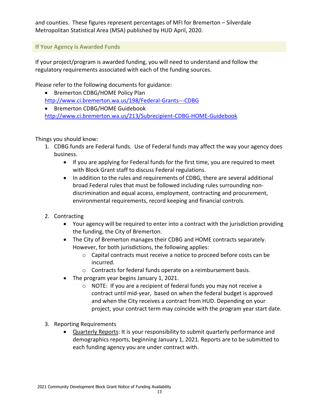and counties. These figures represent percentages of MFI for Bremerton – Silverdale Metropolitan Statistical Area (MSA) published by HUD April, 2020.

<span id="page-15-0"></span>**If Your Agency is Awarded Funds**

If your project/program is awarded funding, you will need to understand and follow the regulatory requirements associated with each of the funding sources.

Please refer to the following documents for guidance:

• Bremerton CDBG/HOME Policy Plan <http://www.ci.bremerton.wa.us/198/Federal-Grants---CDBG>

• Bremerton CDBG/HOME Guidebook <http://www.ci.bremerton.wa.us/213/Subrecipient-CDBG-HOME-Guidebook>

Things you should know:

- 1. CDBG funds are Federal funds. Use of Federal funds may affect the way your agency does business.
	- If you are applying for Federal funds for the first time, you are required to meet with Block Grant staff to discuss Federal regulations.
	- In addition to the rules and requirements of CDBG, there are several additional broad Federal rules that must be followed including rules surrounding nondiscrimination and equal access, employment, contracting and procurement, environmental requirements, record keeping and financial controls.
- 2. Contracting
	- Your agency will be required to enter into a contract with the jurisdiction providing the funding, the City of Bremerton.
	- The City of Bremerton manages their CDBG and HOME contracts separately. However, for both jurisdictions, the following applies:
		- o Capital contracts must receive a notice to proceed before costs can be incurred.
		- o Contracts for federal funds operate on a reimbursement basis.
	- The program year begins January 1, 2021.
		- o NOTE: If you are a recipient of federal funds you may not receive a contract until mid-year, based on when the federal budget is approved and when the City receives a contract from HUD. Depending on your project, your contract term may coincide with the program year start date.
- 3. Reporting Requirements
	- Quarterly Reports: It is your responsibility to submit quarterly performance and demographics reports, beginning January 1, 2021. Reports are to be submitted to each funding agency you are under contract with.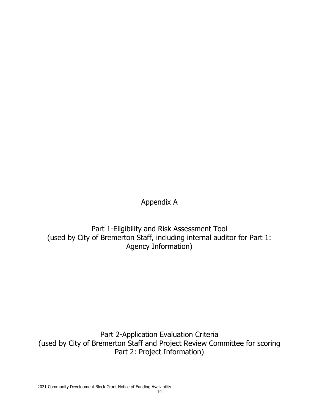Appendix A

Part 1-Eligibility and Risk Assessment Tool (used by City of Bremerton Staff, including internal auditor for Part 1: Agency Information)

Part 2-Application Evaluation Criteria (used by City of Bremerton Staff and Project Review Committee for scoring Part 2: Project Information)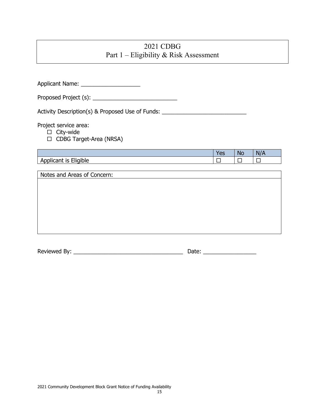# 2021 CDBG Part 1 – Eligibility & Risk Assessment

Applicant Name: \_\_\_\_\_\_\_\_\_\_\_\_\_\_\_\_\_\_\_

Proposed Project (s): \_\_\_\_\_\_\_\_\_\_\_\_\_\_\_\_\_\_\_\_\_\_\_\_\_\_\_

Activity Description(s) & Proposed Use of Funds: \_\_\_\_\_\_\_\_\_\_\_\_\_\_\_\_\_\_\_\_\_\_\_\_\_\_\_\_\_\_\_

Project service area:

- □ City-wide
- $\Box$  CDBG Target-Area (NRSA)

|                                                          | ~~<br>دب | u |  |
|----------------------------------------------------------|----------|---|--|
| $- \cdot$ .<br>.<br>--<br>. .<br>.<br>. .<br>''<br><br>w |          |   |  |

Notes and Areas of Concern:

Reviewed By: \_\_\_\_\_\_\_\_\_\_\_\_\_\_\_\_\_\_\_\_\_\_\_\_\_\_\_\_\_\_\_\_\_\_\_ Date: \_\_\_\_\_\_\_\_\_\_\_\_\_\_\_\_\_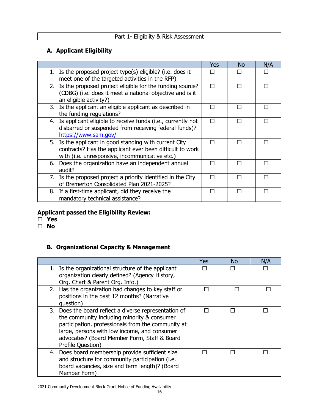# **A. Applicant Eligibility**

|                                                                                                                                                                      | <b>Yes</b> | <b>No</b> | N/A |
|----------------------------------------------------------------------------------------------------------------------------------------------------------------------|------------|-----------|-----|
| 1. Is the proposed project type(s) eligible? (i.e. does it<br>meet one of the targeted activities in the RFP)                                                        |            |           |     |
| 2. Is the proposed project eligible for the funding source?<br>(CDBG) (i.e. does it meet a national objective and is it<br>an eligible activity?)                    | П          |           |     |
| 3. Is the applicant an eligible applicant as described in<br>the funding regulations?                                                                                | ш          | П         | П   |
| 4. Is applicant eligible to receive funds (i.e., currently not<br>disbarred or suspended from receiving federal funds)?<br>https://www.sam.gov/                      |            |           |     |
| 5. Is the applicant in good standing with current City<br>contracts? Has the applicant ever been difficult to work<br>with (i.e. unresponsive, incommunicative etc.) | П          |           |     |
| 6. Does the organization have an independent annual<br>audit?                                                                                                        |            |           |     |
| 7. Is the proposed project a priority identified in the City<br>of Bremerton Consolidated Plan 2021-2025?                                                            |            |           |     |
| 8. If a first-time applicant, did they receive the<br>mandatory technical assistance?                                                                                |            |           |     |

## **Applicant passed the Eligibility Review:**

- **Yes**
- **No**

## **B. Organizational Capacity & Management**

|                                                                                                                                                                                                                                                                                 | Yes | No | N/A |
|---------------------------------------------------------------------------------------------------------------------------------------------------------------------------------------------------------------------------------------------------------------------------------|-----|----|-----|
| 1. Is the organizational structure of the applicant<br>organization clearly defined? (Agency History,<br>Org. Chart & Parent Org. Info.)                                                                                                                                        |     |    |     |
| 2. Has the organization had changes to key staff or<br>positions in the past 12 months? (Narrative<br>question)                                                                                                                                                                 | П   |    |     |
| 3. Does the board reflect a diverse representation of<br>the community including minority & consumer<br>participation, professionals from the community at<br>large, persons with low income, and consumer<br>advocates? (Board Member Form, Staff & Board<br>Profile Question) |     |    |     |
| 4. Does board membership provide sufficient size<br>and structure for community participation (i.e.<br>board vacancies, size and term length)? (Board<br>Member Form)                                                                                                           |     |    |     |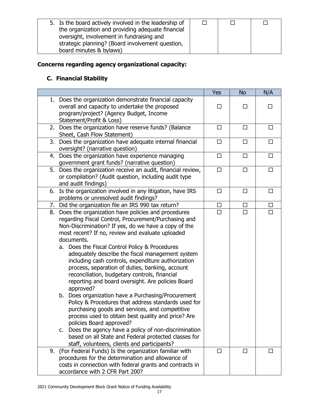| 5. Is the board actively involved in the leadership of |  |  |
|--------------------------------------------------------|--|--|
| the organization and providing adequate financial      |  |  |
| oversight, involvement in fundraising and              |  |  |
| strategic planning? (Board involvement question,       |  |  |
| board minutes & bylaws)                                |  |  |

# **Concerns regarding agency organizational capacity:**

# **C. Financial Stability**

|                                                                                                                                                                                                                                                                                                                                                                                                                                                                                                                                                                                                                                                                                                                                                                                                                                                                                                                                                                                                 | <b>Yes</b> | <b>No</b> | N/A    |
|-------------------------------------------------------------------------------------------------------------------------------------------------------------------------------------------------------------------------------------------------------------------------------------------------------------------------------------------------------------------------------------------------------------------------------------------------------------------------------------------------------------------------------------------------------------------------------------------------------------------------------------------------------------------------------------------------------------------------------------------------------------------------------------------------------------------------------------------------------------------------------------------------------------------------------------------------------------------------------------------------|------------|-----------|--------|
| 1. Does the organization demonstrate financial capacity<br>overall and capacity to undertake the proposed<br>program/project? (Agency Budget, Income<br>Statement/Profit & Loss)                                                                                                                                                                                                                                                                                                                                                                                                                                                                                                                                                                                                                                                                                                                                                                                                                | $\Box$     | $\Box$    | П      |
| Does the organization have reserve funds? (Balance<br>2.<br>Sheet, Cash Flow Statement)                                                                                                                                                                                                                                                                                                                                                                                                                                                                                                                                                                                                                                                                                                                                                                                                                                                                                                         | □          | $\Box$    | □      |
| Does the organization have adequate internal financial<br>3.<br>oversight? (narrative question)                                                                                                                                                                                                                                                                                                                                                                                                                                                                                                                                                                                                                                                                                                                                                                                                                                                                                                 | $\Box$     | $\Box$    | $\Box$ |
| Does the organization have experience managing<br>4.<br>government grant funds? (narrative question)                                                                                                                                                                                                                                                                                                                                                                                                                                                                                                                                                                                                                                                                                                                                                                                                                                                                                            | $\Box$     | $\Box$    | $\Box$ |
| 5. Does the organization receive an audit, financial review,<br>or compilation? (Audit question, including audit type<br>and audit findings)                                                                                                                                                                                                                                                                                                                                                                                                                                                                                                                                                                                                                                                                                                                                                                                                                                                    | $\Box$     | $\Box$    | $\Box$ |
| 6. Is the organization involved in any litigation, have IRS<br>problems or unresolved audit findings?                                                                                                                                                                                                                                                                                                                                                                                                                                                                                                                                                                                                                                                                                                                                                                                                                                                                                           | $\Box$     | $\Box$    | $\Box$ |
| Did the organization file an IRS 990 tax return?<br>7.                                                                                                                                                                                                                                                                                                                                                                                                                                                                                                                                                                                                                                                                                                                                                                                                                                                                                                                                          | □          | □         | □      |
| Does the organization have policies and procedures<br>8.<br>regarding Fiscal Control, Procurement/Purchasing and<br>Non-Discrimination? If yes, do we have a copy of the<br>most recent? If no, review and evaluate uploaded<br>documents.<br>a. Does the Fiscal Control Policy & Procedures<br>adequately describe the fiscal management system<br>including cash controls, expenditure authorization<br>process, separation of duties, banking, account<br>reconciliation, budgetary controls, financial<br>reporting and board oversight. Are policies Board<br>approved?<br>b. Does organization have a Purchasing/Procurement<br>Policy & Procedures that address standards used for<br>purchasing goods and services, and competitive<br>process used to obtain best quality and price? Are<br>policies Board approved?<br>c. Does the agency have a policy of non-discrimination<br>based on all State and Federal protected classes for<br>staff, volunteers, clients and participants? | $\Box$     | $\Box$    | П      |
| (For Federal Funds) Is the organization familiar with<br>9.<br>procedures for the determination and allowance of<br>costs in connection with federal grants and contracts in<br>accordance with 2 CFR Part 200?                                                                                                                                                                                                                                                                                                                                                                                                                                                                                                                                                                                                                                                                                                                                                                                 | $\Box$     | $\Box$    | П      |